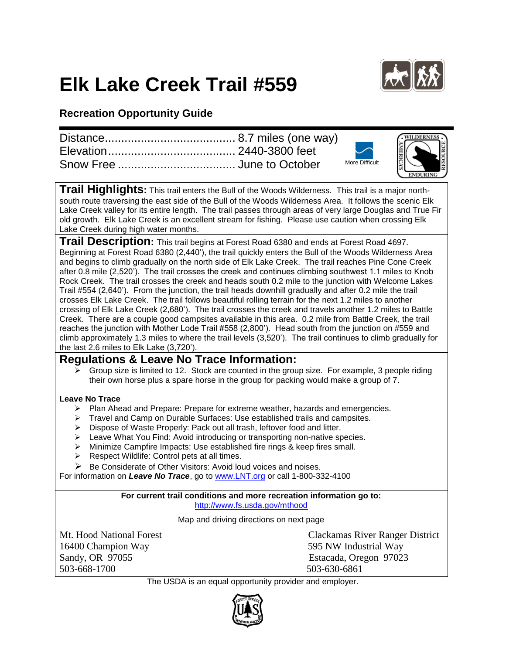# **Elk Lake Creek Trail #559**



### **Recreation Opportunity Guide**

|  | More Difficult | RESOURC |
|--|----------------|---------|

**Trail Highlights:** This trail enters the Bull of the Woods Wilderness. This trail is a major northsouth route traversing the east side of the Bull of the Woods Wilderness Area. It follows the scenic Elk Lake Creek valley for its entire length. The trail passes through areas of very large Douglas and True Fir old growth. Elk Lake Creek is an excellent stream for fishing. Please use caution when crossing Elk Lake Creek during high water months.

**Trail Description:** This trail begins at Forest Road 6380 and ends at Forest Road 4697. Beginning at Forest Road 6380 (2,440'), the trail quickly enters the Bull of the Woods Wilderness Area and begins to climb gradually on the north side of Elk Lake Creek. The trail reaches Pine Cone Creek after 0.8 mile (2,520'). The trail crosses the creek and continues climbing southwest 1.1 miles to Knob Rock Creek. The trail crosses the creek and heads south 0.2 mile to the junction with Welcome Lakes Trail #554 (2,640'). From the junction, the trail heads downhill gradually and after 0.2 mile the trail crosses Elk Lake Creek. The trail follows beautiful rolling terrain for the next 1.2 miles to another crossing of Elk Lake Creek (2,680'). The trail crosses the creek and travels another 1.2 miles to Battle Creek. There are a couple good campsites available in this area. 0.2 mile from Battle Creek, the trail reaches the junction with Mother Lode Trail #558 (2,800'). Head south from the junction on #559 and climb approximately 1.3 miles to where the trail levels (3,520'). The trail continues to climb gradually for the last 2.6 miles to Elk Lake (3,720').

## **Regulations & Leave No Trace Information:**

 $\triangleright$  Group size is limited to 12. Stock are counted in the group size. For example, 3 people riding their own horse plus a spare horse in the group for packing would make a group of 7.

#### **Leave No Trace**

- $\triangleright$  Plan Ahead and Prepare: Prepare for extreme weather, hazards and emergencies.
- **Figure 2** Travel and Camp on Durable Surfaces: Use established trails and campsites.
- > Dispose of Waste Properly: Pack out all trash, leftover food and litter.
- > Leave What You Find: Avoid introducing or transporting non-native species.
- $\triangleright$  Minimize Campfire Impacts: Use established fire rings & keep fires small.
- $\triangleright$  Respect Wildlife: Control pets at all times.
- $\triangleright$  Be Considerate of Other Visitors: Avoid loud voices and noises.

For information on *Leave No Trace*, go to [www.LNT.org](http://www.lnt.org/) or call 1-800-332-4100

#### **For current trail conditions and more recreation information go to:** <http://www.fs.usda.gov/mthood>

Map and driving directions on next page

16400 Champion Way 595 NW Industrial Way Sandy, OR 97055 Estacada, Oregon 97023 503-668-1700 503-630-6861

Mt. Hood National Forest **Clackamas River Ranger District** 

The USDA is an equal opportunity provider and employer.